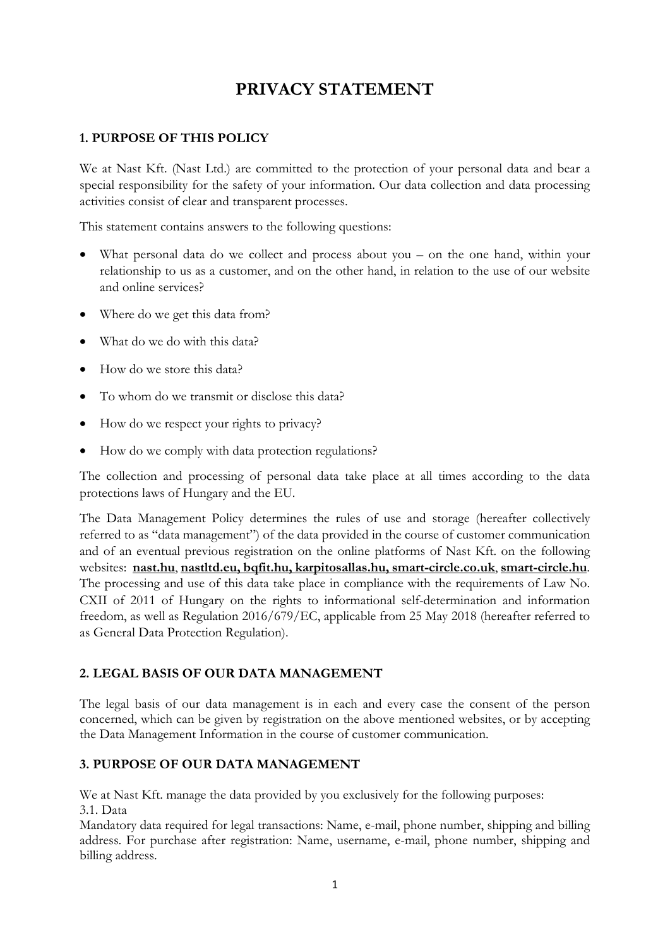# PRIVACY STATEMENT

## 1. PURPOSE OF THIS POLICY

We at Nast Kft. (Nast Ltd.) are committed to the protection of your personal data and bear a special responsibility for the safety of your information. Our data collection and data processing activities consist of clear and transparent processes.

This statement contains answers to the following questions:

- What personal data do we collect and process about you on the one hand, within your relationship to us as a customer, and on the other hand, in relation to the use of our website and online services?
- Where do we get this data from?
- What do we do with this data?
- How do we store this data?
- To whom do we transmit or disclose this data?
- How do we respect your rights to privacy?
- How do we comply with data protection regulations?

The collection and processing of personal data take place at all times according to the data protections laws of Hungary and the EU.

The Data Management Policy determines the rules of use and storage (hereafter collectively referred to as "data management") of the data provided in the course of customer communication and of an eventual previous registration on the online platforms of Nast Kft. on the following websites: nast.hu, nastltd.eu, bqfit.hu, karpitosallas.hu, smart-circle.co.uk, smart-circle.hu. The processing and use of this data take place in compliance with the requirements of Law No. CXII of 2011 of Hungary on the rights to informational self-determination and information freedom, as well as Regulation 2016/679/EC, applicable from 25 May 2018 (hereafter referred to as General Data Protection Regulation).

## 2. LEGAL BASIS OF OUR DATA MANAGEMENT

The legal basis of our data management is in each and every case the consent of the person concerned, which can be given by registration on the above mentioned websites, or by accepting the Data Management Information in the course of customer communication.

## 3. PURPOSE OF OUR DATA MANAGEMENT

We at Nast Kft. manage the data provided by you exclusively for the following purposes: 3.1. Data

Mandatory data required for legal transactions: Name, e-mail, phone number, shipping and billing address. For purchase after registration: Name, username, e-mail, phone number, shipping and billing address.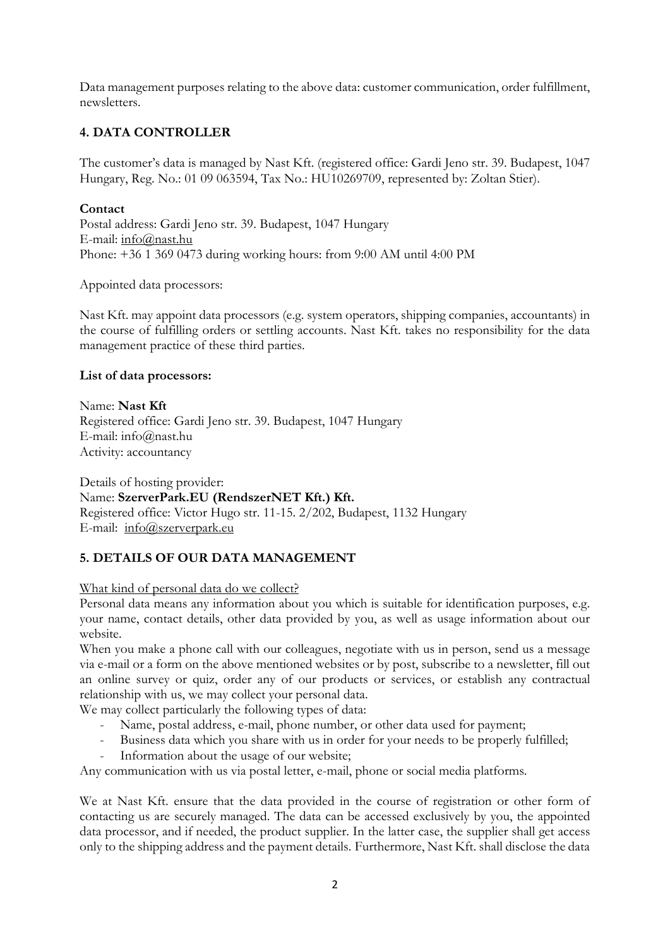Data management purposes relating to the above data: customer communication, order fulfillment, newsletters.

## 4. DATA CONTROLLER

The customer's data is managed by Nast Kft. (registered office: Gardi Jeno str. 39. Budapest, 1047 Hungary, Reg. No.: 01 09 063594, Tax No.: HU10269709, represented by: Zoltan Stier).

#### **Contact**

Postal address: Gardi Jeno str. 39. Budapest, 1047 Hungary E-mail: info@nast.hu Phone: +36 1 369 0473 during working hours: from 9:00 AM until 4:00 PM

Appointed data processors:

Nast Kft. may appoint data processors (e.g. system operators, shipping companies, accountants) in the course of fulfilling orders or settling accounts. Nast Kft. takes no responsibility for the data management practice of these third parties.

#### List of data processors:

Name: Nast Kft Registered office: Gardi Jeno str. 39. Budapest, 1047 Hungary E-mail: info@nast.hu Activity: accountancy

Details of hosting provider: Name: SzerverPark.EU (RendszerNET Kft.) Kft. Registered office: Victor Hugo str. 11-15. 2/202, Budapest, 1132 Hungary E-mail: info@szerverpark.eu

## 5. DETAILS OF OUR DATA MANAGEMENT

#### What kind of personal data do we collect?

Personal data means any information about you which is suitable for identification purposes, e.g. your name, contact details, other data provided by you, as well as usage information about our website.

When you make a phone call with our colleagues, negotiate with us in person, send us a message via e-mail or a form on the above mentioned websites or by post, subscribe to a newsletter, fill out an online survey or quiz, order any of our products or services, or establish any contractual relationship with us, we may collect your personal data.

We may collect particularly the following types of data:

- Name, postal address, e-mail, phone number, or other data used for payment;
- Business data which you share with us in order for your needs to be properly fulfilled;
- Information about the usage of our website;

Any communication with us via postal letter, e-mail, phone or social media platforms.

We at Nast Kft. ensure that the data provided in the course of registration or other form of contacting us are securely managed. The data can be accessed exclusively by you, the appointed data processor, and if needed, the product supplier. In the latter case, the supplier shall get access only to the shipping address and the payment details. Furthermore, Nast Kft. shall disclose the data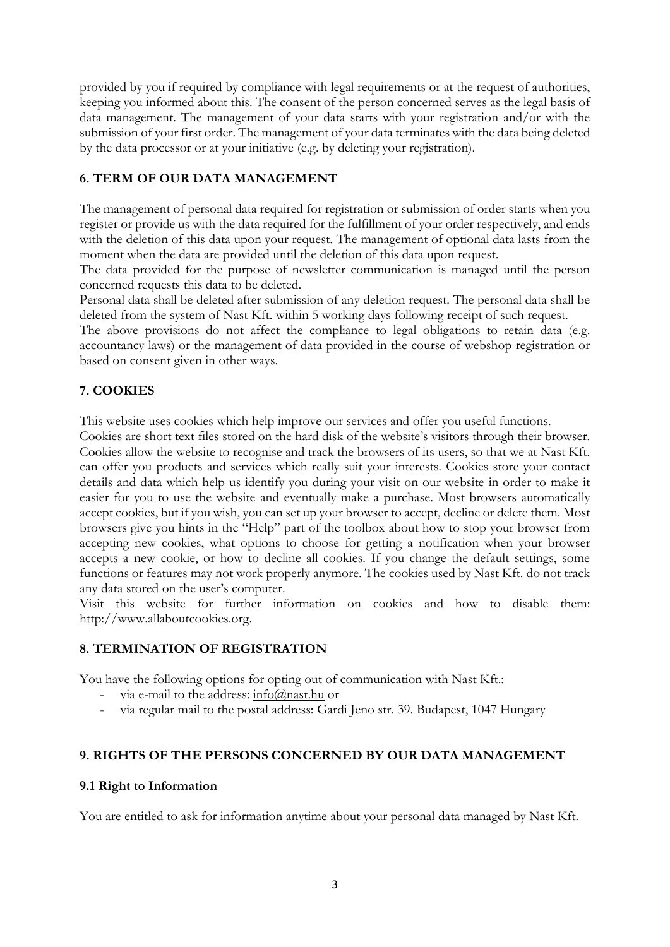provided by you if required by compliance with legal requirements or at the request of authorities, keeping you informed about this. The consent of the person concerned serves as the legal basis of data management. The management of your data starts with your registration and/or with the submission of your first order. The management of your data terminates with the data being deleted by the data processor or at your initiative (e.g. by deleting your registration).

## 6. TERM OF OUR DATA MANAGEMENT

The management of personal data required for registration or submission of order starts when you register or provide us with the data required for the fulfillment of your order respectively, and ends with the deletion of this data upon your request. The management of optional data lasts from the moment when the data are provided until the deletion of this data upon request.

The data provided for the purpose of newsletter communication is managed until the person concerned requests this data to be deleted.

Personal data shall be deleted after submission of any deletion request. The personal data shall be deleted from the system of Nast Kft. within 5 working days following receipt of such request.

The above provisions do not affect the compliance to legal obligations to retain data (e.g. accountancy laws) or the management of data provided in the course of webshop registration or based on consent given in other ways.

## 7. COOKIES

This website uses cookies which help improve our services and offer you useful functions.

Cookies are short text files stored on the hard disk of the website's visitors through their browser. Cookies allow the website to recognise and track the browsers of its users, so that we at Nast Kft. can offer you products and services which really suit your interests. Cookies store your contact details and data which help us identify you during your visit on our website in order to make it easier for you to use the website and eventually make a purchase. Most browsers automatically accept cookies, but if you wish, you can set up your browser to accept, decline or delete them. Most browsers give you hints in the "Help" part of the toolbox about how to stop your browser from accepting new cookies, what options to choose for getting a notification when your browser accepts a new cookie, or how to decline all cookies. If you change the default settings, some functions or features may not work properly anymore. The cookies used by Nast Kft. do not track any data stored on the user's computer.

Visit this website for further information on cookies and how to disable them: http://www.allaboutcookies.org.

#### 8. TERMINATION OF REGISTRATION

You have the following options for opting out of communication with Nast Kft.:

- via e-mail to the address:  $\frac{\text{info}(a)}{\text{mask} \cdot \text{hu}}$  or
- via regular mail to the postal address: Gardi Jeno str. 39. Budapest, 1047 Hungary

#### 9. RIGHTS OF THE PERSONS CONCERNED BY OUR DATA MANAGEMENT

#### 9.1 Right to Information

You are entitled to ask for information anytime about your personal data managed by Nast Kft.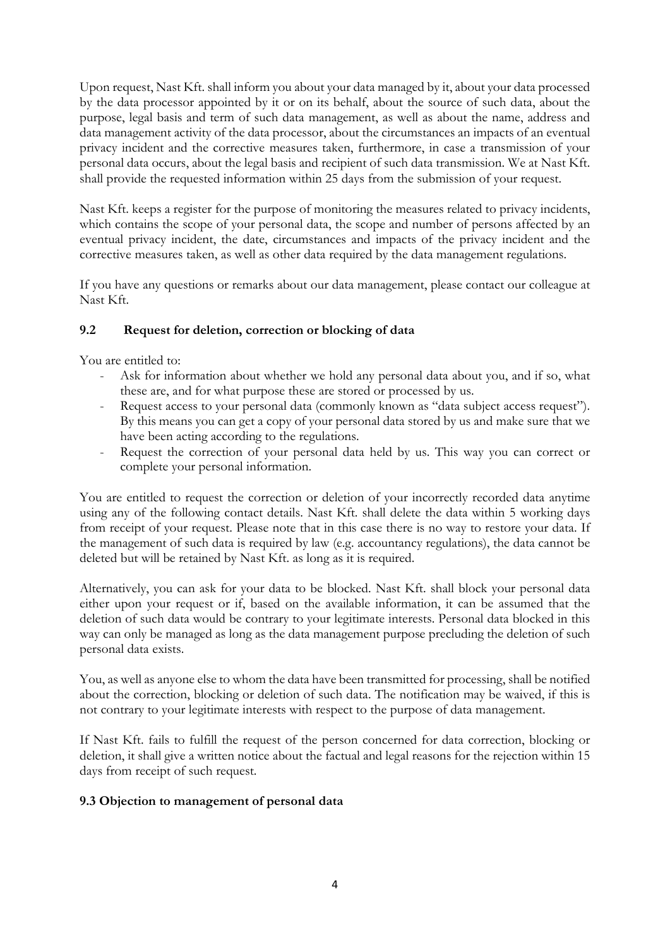Upon request, Nast Kft. shall inform you about your data managed by it, about your data processed by the data processor appointed by it or on its behalf, about the source of such data, about the purpose, legal basis and term of such data management, as well as about the name, address and data management activity of the data processor, about the circumstances an impacts of an eventual privacy incident and the corrective measures taken, furthermore, in case a transmission of your personal data occurs, about the legal basis and recipient of such data transmission. We at Nast Kft. shall provide the requested information within 25 days from the submission of your request.

Nast Kft. keeps a register for the purpose of monitoring the measures related to privacy incidents, which contains the scope of your personal data, the scope and number of persons affected by an eventual privacy incident, the date, circumstances and impacts of the privacy incident and the corrective measures taken, as well as other data required by the data management regulations.

If you have any questions or remarks about our data management, please contact our colleague at Nast Kft.

## 9.2 Request for deletion, correction or blocking of data

You are entitled to:

- Ask for information about whether we hold any personal data about you, and if so, what these are, and for what purpose these are stored or processed by us.
- Request access to your personal data (commonly known as "data subject access request"). By this means you can get a copy of your personal data stored by us and make sure that we have been acting according to the regulations.
- Request the correction of your personal data held by us. This way you can correct or complete your personal information.

You are entitled to request the correction or deletion of your incorrectly recorded data anytime using any of the following contact details. Nast Kft. shall delete the data within 5 working days from receipt of your request. Please note that in this case there is no way to restore your data. If the management of such data is required by law (e.g. accountancy regulations), the data cannot be deleted but will be retained by Nast Kft. as long as it is required.

Alternatively, you can ask for your data to be blocked. Nast Kft. shall block your personal data either upon your request or if, based on the available information, it can be assumed that the deletion of such data would be contrary to your legitimate interests. Personal data blocked in this way can only be managed as long as the data management purpose precluding the deletion of such personal data exists.

You, as well as anyone else to whom the data have been transmitted for processing, shall be notified about the correction, blocking or deletion of such data. The notification may be waived, if this is not contrary to your legitimate interests with respect to the purpose of data management.

If Nast Kft. fails to fulfill the request of the person concerned for data correction, blocking or deletion, it shall give a written notice about the factual and legal reasons for the rejection within 15 days from receipt of such request.

## 9.3 Objection to management of personal data